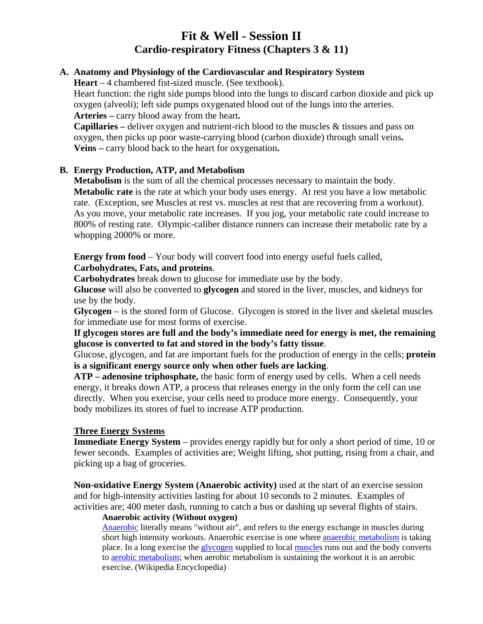# **Fit & Well - Session II Cardio-respiratory Fitness (Chapters 3 & 11)**

#### **A. Anatomy and Physiology of the Cardiovascular and Respiratory System**

**Heart** – 4 chambered fist-sized muscle. (See textbook).

Heart function: the right side pumps blood into the lungs to discard carbon dioxide and pick up oxygen (alveoli); left side pumps oxygenated blood out of the lungs into the arteries. **Arteries –** carry blood away from the heart**.** 

**Capillaries –** deliver oxygen and nutrient-rich blood to the muscles & tissues and pass on oxygen, then picks up poor waste-carrying blood (carbon dioxide) through small veins**. Veins –** carry blood back to the heart for oxygenation**.** 

#### **B. Energy Production, ATP, and Metabolism**

**Metabolism** is the sum of all the chemical processes necessary to maintain the body. **Metabolic rate** is the rate at which your body uses energy. At rest you have a low metabolic rate. (Exception, see Muscles at rest vs. muscles at rest that are recovering from a workout). As you move, your metabolic rate increases. If you jog, your metabolic rate could increase to 800% of resting rate. Olympic-caliber distance runners can increase their metabolic rate by a whopping 2000% or more.

**Energy from food** – Your body will convert food into energy useful fuels called, **Carbohydrates, Fats, and proteins**.

**Carbohydrates** break down to glucose for immediate use by the body.

**Glucose** will also be converted to **glycogen** and stored in the liver, muscles, and kidneys for use by the body.

**Glycogen** – is the stored form of Glucose. Glycogen is stored in the liver and skeletal muscles for immediate use for most forms of exercise.

**If glycogen stores are full and the body's immediate need for energy is met, the remaining glucose is converted to fat and stored in the body's fatty tissue**.

Glucose, glycogen, and fat are important fuels for the production of energy in the cells; **protein is a significant energy source only when other fuels are lacking**.

**ATP – adenosine triphosphate,** the basic form of energy used by cells. When a cell needs energy, it breaks down ATP, a process that releases energy in the only form the cell can use directly. When you exercise, your cells need to produce more energy. Consequently, your body mobilizes its stores of fuel to increase ATP production.

#### **Three Energy Systems**

**Immediate Energy System** – provides energy rapidly but for only a short period of time, 10 or fewer seconds. Examples of activities are; Weight lifting, shot putting, rising from a chair, and picking up a bag of groceries.

**Non-oxidative Energy System (Anaerobic activity)** used at the start of an exercise session and for high-intensity activities lasting for about 10 seconds to 2 minutes. Examples of activities are; 400 meter dash, running to catch a bus or dashing up several flights of stairs.

#### **Anaerobic activity (Without oxygen)**

Anaerobic literally means "without air", and refers to the energy exchange in muscles during short high intensity workouts. Anaerobic exercise is one where **anaerobic metabolism** is taking place. In a long exercise the glycogen supplied to local muscles runs out and the body converts to aerobic metabolism; when aerobic metabolism is sustaining the workout it is an aerobic exercise. (Wikipedia Encyclopedia)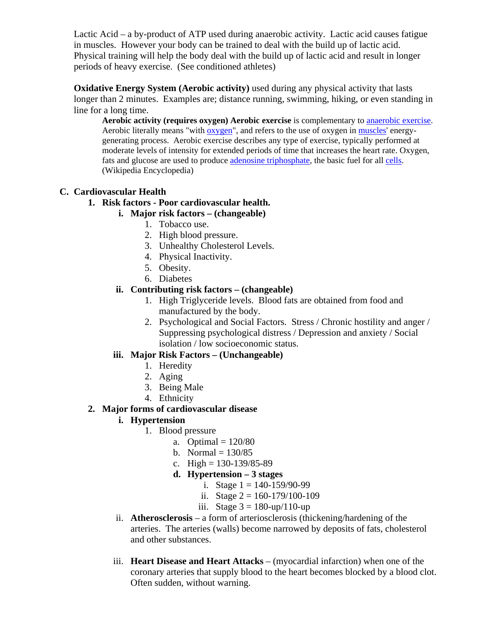Lactic Acid – a by-product of ATP used during anaerobic activity. Lactic acid causes fatigue in muscles. However your body can be trained to deal with the build up of lactic acid. Physical training will help the body deal with the build up of lactic acid and result in longer periods of heavy exercise. (See conditioned athletes)

**Oxidative Energy System (Aerobic activity)** used during any physical activity that lasts longer than 2 minutes. Examples are; distance running, swimming, hiking, or even standing in line for a long time.

**Aerobic activity (requires oxygen) Aerobic exercise** is complementary to anaerobic exercise. Aerobic literally means "with oxygen", and refers to the use of oxygen in muscles' energygenerating process. Aerobic exercise describes any type of exercise, typically performed at moderate levels of intensity for extended periods of time that increases the heart rate. Oxygen, fats and glucose are used to produce adenosine triphosphate, the basic fuel for all cells. (Wikipedia Encyclopedia)

# **C. Cardiovascular Health**

# **1. Risk factors - Poor cardiovascular health.**

# **i. Major risk factors – (changeable)**

- 1. Tobacco use.
- 2. High blood pressure.
- 3. Unhealthy Cholesterol Levels.
- 4. Physical Inactivity.
- 5. Obesity.
- 6. Diabetes

# **ii. Contributing risk factors – (changeable)**

- 1. High Triglyceride levels. Blood fats are obtained from food and manufactured by the body.
- 2. Psychological and Social Factors. Stress / Chronic hostility and anger / Suppressing psychological distress / Depression and anxiety / Social isolation / low socioeconomic status.

# **iii. Major Risk Factors – (Unchangeable)**

- 1. Heredity
- 2. Aging
- 3. Being Male
- 4. Ethnicity

### **2. Major forms of cardiovascular disease**

# **i. Hypertension**

- 1. Blood pressure
	- a. Optimal  $= 120/80$
	- b. Normal  $= 130/85$
	- c. High =  $130-139/85-89$
	- **d. Hypertension 3 stages** 
		- i. Stage  $1 = 140 159/90 99$
		- ii. Stage  $2 = 160 179/100 109$
		- iii. Stage  $3 = 180$ -up/110-up
- ii. **Atherosclerosis** a form of arteriosclerosis (thickening/hardening of the arteries. The arteries (walls) become narrowed by deposits of fats, cholesterol and other substances.
- iii. **Heart Disease and Heart Attacks** (myocardial infarction) when one of the coronary arteries that supply blood to the heart becomes blocked by a blood clot. Often sudden, without warning.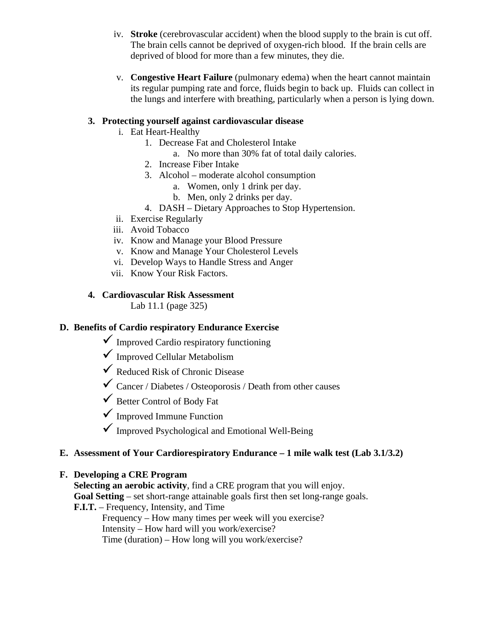- iv. **Stroke** (cerebrovascular accident) when the blood supply to the brain is cut off. The brain cells cannot be deprived of oxygen-rich blood. If the brain cells are deprived of blood for more than a few minutes, they die.
- v. **Congestive Heart Failure** (pulmonary edema) when the heart cannot maintain its regular pumping rate and force, fluids begin to back up. Fluids can collect in the lungs and interfere with breathing, particularly when a person is lying down.

#### **3. Protecting yourself against cardiovascular disease**

- i. Eat Heart-Healthy
	- 1. Decrease Fat and Cholesterol Intake
		- a. No more than 30% fat of total daily calories.
	- 2. Increase Fiber Intake
	- 3. Alcohol moderate alcohol consumption
		- a. Women, only 1 drink per day.
		- b. Men, only 2 drinks per day.
	- 4. DASH Dietary Approaches to Stop Hypertension.
- ii. Exercise Regularly
- iii. Avoid Tobacco
- iv. Know and Manage your Blood Pressure
- v. Know and Manage Your Cholesterol Levels
- vi. Develop Ways to Handle Stress and Anger
- vii. Know Your Risk Factors.

#### **4. Cardiovascular Risk Assessment**

Lab 11.1 (page 325)

# **D. Benefits of Cardio respiratory Endurance Exercise**

- $\checkmark$  Improved Cardio respiratory functioning
- $\checkmark$  Improved Cellular Metabolism
- $\checkmark$  Reduced Risk of Chronic Disease
- $\checkmark$  Cancer / Diabetes / Osteoporosis / Death from other causes
- Better Control of Body Fat
- $\checkmark$  Improved Immune Function
- $\checkmark$  Improved Psychological and Emotional Well-Being

#### **E. Assessment of Your Cardiorespiratory Endurance – 1 mile walk test (Lab 3.1/3.2)**

#### **F. Developing a CRE Program**

**Selecting an aerobic activity**, find a CRE program that you will enjoy. **Goal Setting** – set short-range attainable goals first then set long-range goals.

**F.I.T.** – Frequency, Intensity, and Time

 Frequency – How many times per week will you exercise? Intensity – How hard will you work/exercise?

Time (duration) – How long will you work/exercise?